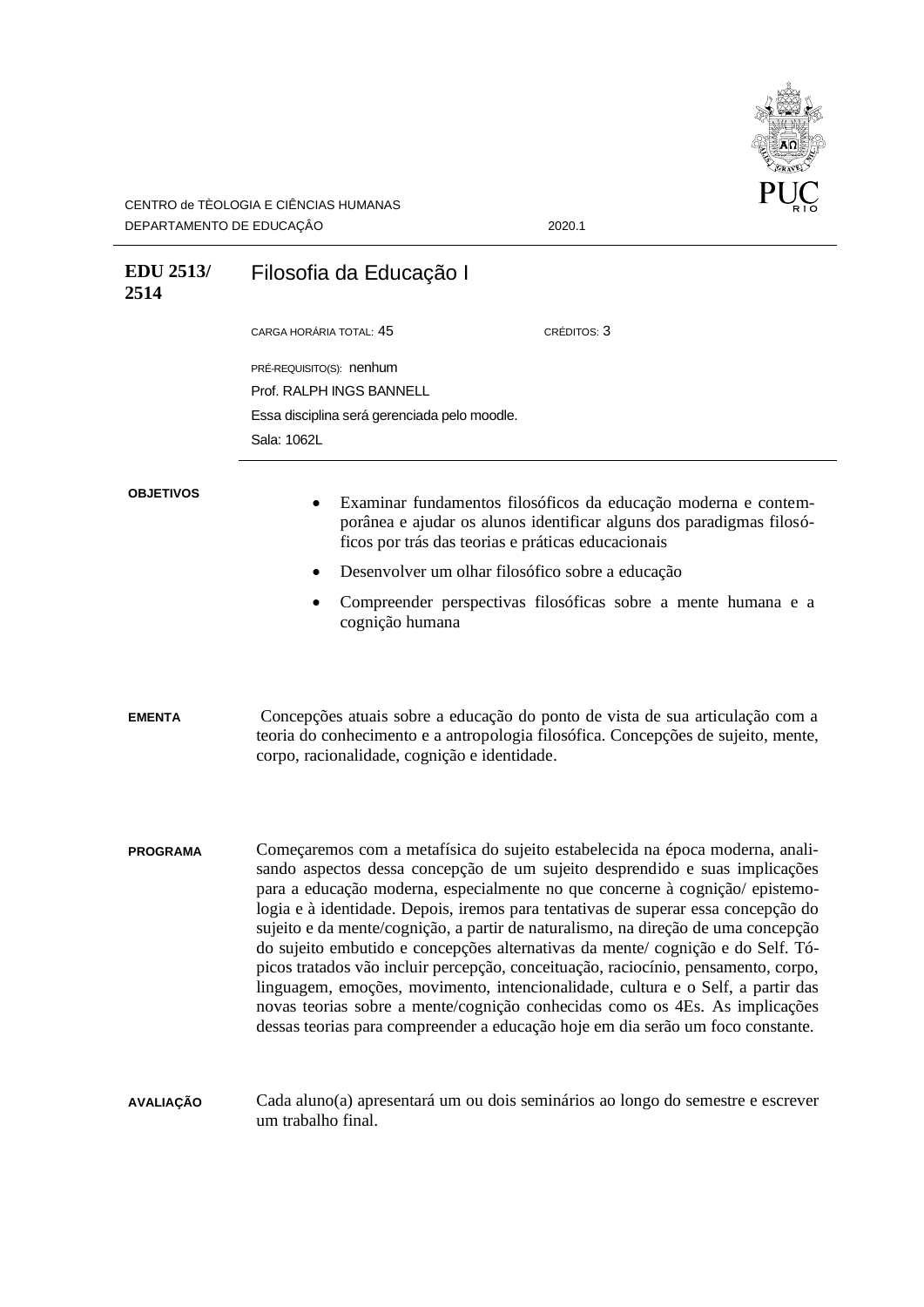

CENTRO de TÈOLOGIA E CIÊNCIAS HUMANAS DEPARTAMENTO DE EDUCAÇÃO

| <b>EDU 2513/</b><br>2514 | Filosofia da Educação I                                                                                                                                                                                                                                                                                                                                                                                                                                                                                                                                                                                                                                                                                                                                                                                                                             |
|--------------------------|-----------------------------------------------------------------------------------------------------------------------------------------------------------------------------------------------------------------------------------------------------------------------------------------------------------------------------------------------------------------------------------------------------------------------------------------------------------------------------------------------------------------------------------------------------------------------------------------------------------------------------------------------------------------------------------------------------------------------------------------------------------------------------------------------------------------------------------------------------|
|                          | CARGA HORÁRIA TOTAL: 45<br>CRÉDITOS: 3                                                                                                                                                                                                                                                                                                                                                                                                                                                                                                                                                                                                                                                                                                                                                                                                              |
|                          | PRÉ-REQUISITO(S): nenhum                                                                                                                                                                                                                                                                                                                                                                                                                                                                                                                                                                                                                                                                                                                                                                                                                            |
|                          | Prof. RALPH INGS BANNELL<br>Essa disciplina será gerenciada pelo moodle.                                                                                                                                                                                                                                                                                                                                                                                                                                                                                                                                                                                                                                                                                                                                                                            |
|                          | Sala: 1062L                                                                                                                                                                                                                                                                                                                                                                                                                                                                                                                                                                                                                                                                                                                                                                                                                                         |
| <b>OBJETIVOS</b>         | Examinar fundamentos filosóficos da educação moderna e contem-<br>porânea e ajudar os alunos identificar alguns dos paradigmas filosó-<br>ficos por trás das teorias e práticas educacionais                                                                                                                                                                                                                                                                                                                                                                                                                                                                                                                                                                                                                                                        |
|                          | Desenvolver um olhar filosófico sobre a educação                                                                                                                                                                                                                                                                                                                                                                                                                                                                                                                                                                                                                                                                                                                                                                                                    |
|                          | Compreender perspectivas filosóficas sobre a mente humana e a<br>cognição humana                                                                                                                                                                                                                                                                                                                                                                                                                                                                                                                                                                                                                                                                                                                                                                    |
| <b>EMENTA</b>            | Concepções atuais sobre a educação do ponto de vista de sua articulação com a<br>teoria do conhecimento e a antropologia filosófica. Concepções de sujeito, mente,<br>corpo, racionalidade, cognição e identidade.                                                                                                                                                                                                                                                                                                                                                                                                                                                                                                                                                                                                                                  |
| <b>PROGRAMA</b>          | Começaremos com a metafísica do sujeito estabelecida na época moderna, anali-<br>sando aspectos dessa concepção de um sujeito desprendido e suas implicações<br>para a educação moderna, especialmente no que concerne à cognição/ epistemo-<br>logia e à identidade. Depois, iremos para tentativas de superar essa concepção do<br>sujeito e da mente/cognição, a partir de naturalismo, na direção de uma concepção<br>do sujeito embutido e concepções alternativas da mente/cognição e do Self. Tó-<br>picos tratados vão incluir percepção, conceituação, raciocínio, pensamento, corpo,<br>linguagem, emoções, movimento, intencionalidade, cultura e o Self, a partir das<br>novas teorias sobre a mente/cognição conhecidas como os 4Es. As implicações<br>dessas teorias para compreender a educação hoje em dia serão um foco constante. |
| <b>AVALIAÇÃO</b>         | Cada aluno(a) apresentará um ou dois seminários ao longo do semestre e escrever<br>um trabalho final.                                                                                                                                                                                                                                                                                                                                                                                                                                                                                                                                                                                                                                                                                                                                               |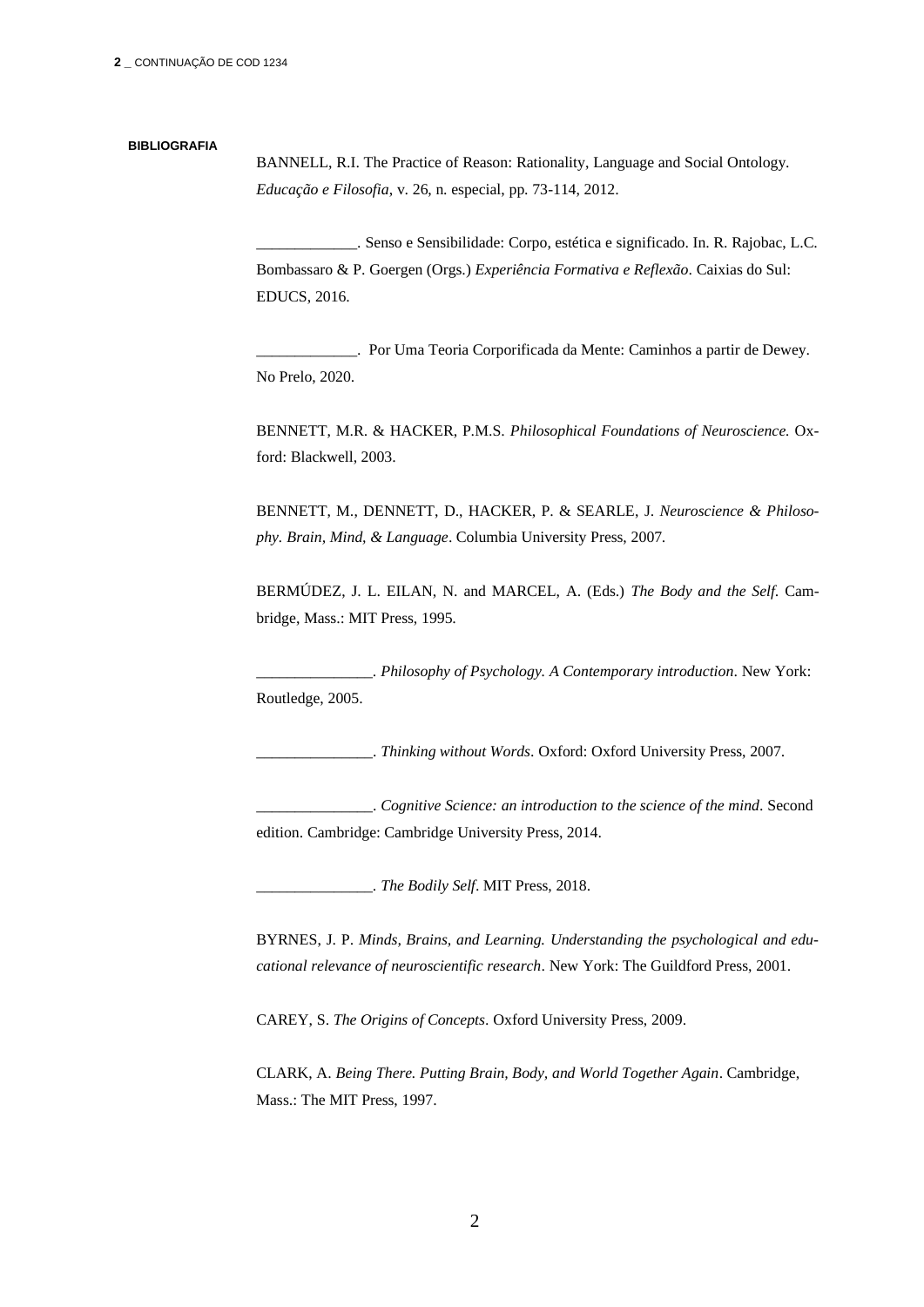## **BIBLIOGRAFIA**

BANNELL, R.I. The Practice of Reason: Rationality, Language and Social Ontology. *Educação e Filosofia*, v. 26, n. especial, pp. 73-114, 2012.

\_\_\_\_\_\_\_\_\_\_\_\_\_. Senso e Sensibilidade: Corpo, estética e significado. In. R. Rajobac, L.C. Bombassaro & P. Goergen (Orgs.) *Experiência Formativa e Reflexão*. Caixias do Sul: EDUCS, 2016.

\_\_\_\_\_\_\_\_\_\_\_\_\_. Por Uma Teoria Corporificada da Mente: Caminhos a partir de Dewey. No Prelo, 2020.

BENNETT, M.R. & HACKER, P.M.S. *Philosophical Foundations of Neuroscience.* Oxford: Blackwell, 2003.

BENNETT, M., DENNETT, D., HACKER, P. & SEARLE, J. *Neuroscience & Philosophy. Brain, Mind, & Language*. Columbia University Press, 2007.

BERMÚDEZ, J. L. EILAN, N. and MARCEL, A. (Eds.) *The Body and the Self*. Cambridge, Mass.: MIT Press, 1995.

\_\_\_\_\_\_\_\_\_\_\_\_\_\_\_. *Philosophy of Psychology. A Contemporary introduction*. New York: Routledge, 2005.

\_\_\_\_\_\_\_\_\_\_\_\_\_\_\_. *Thinking without Words*. Oxford: Oxford University Press, 2007.

\_\_\_\_\_\_\_\_\_\_\_\_\_\_\_. *Cognitive Science: an introduction to the science of the mind*. Second edition. Cambridge: Cambridge University Press, 2014.

\_\_\_\_\_\_\_\_\_\_\_\_\_\_\_. *The Bodily Self*. MIT Press, 2018.

BYRNES, J. P. *Minds, Brains, and Learning. Understanding the psychological and educational relevance of neuroscientific research*. New York: The Guildford Press, 2001.

CAREY, S. *The Origins of Concepts*. Oxford University Press, 2009.

CLARK, A. *Being There. Putting Brain, Body, and World Together Again*. Cambridge, Mass.: The MIT Press, 1997.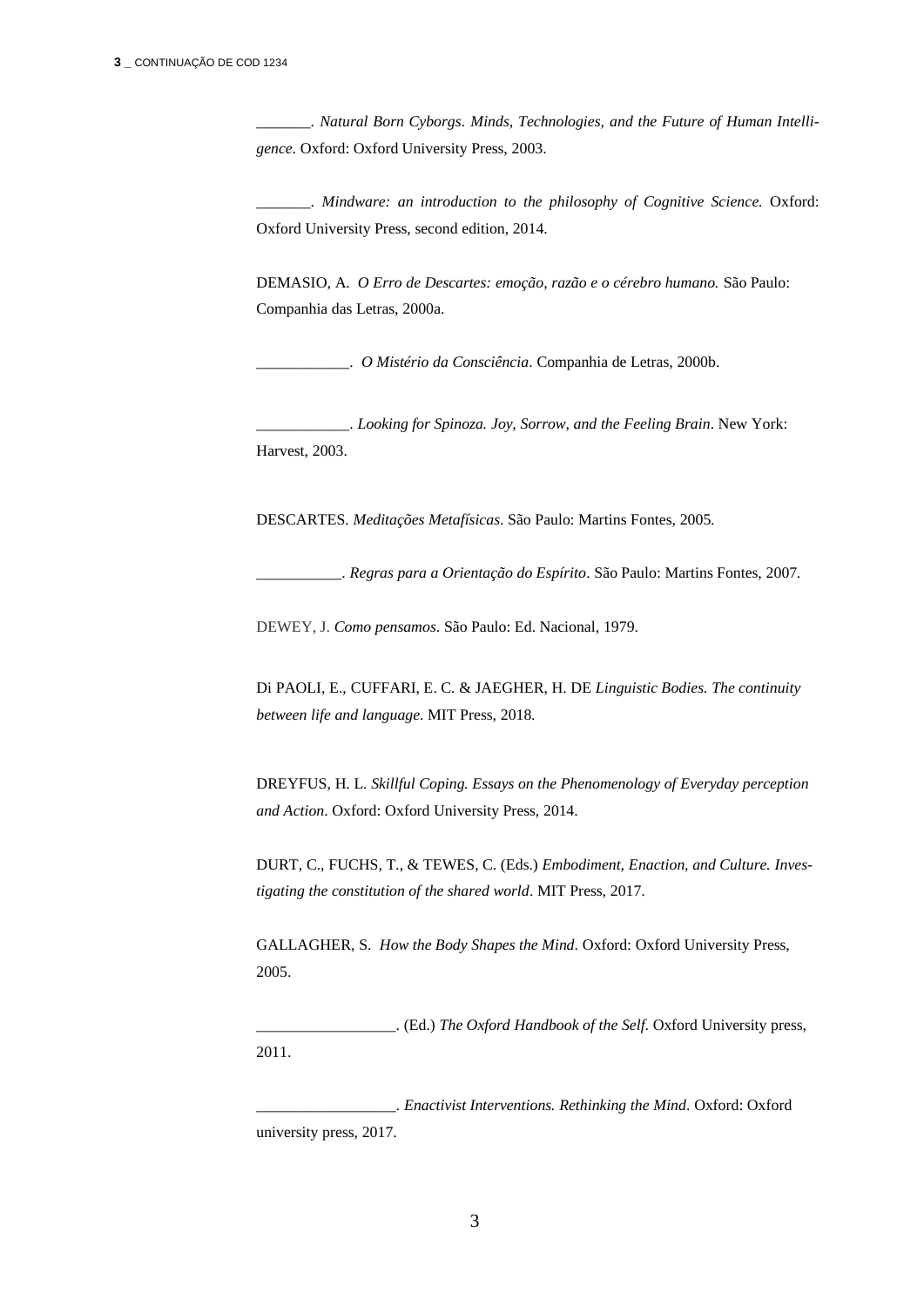\_\_\_\_\_\_\_. *Natural Born Cyborgs*. *Minds, Technologies, and the Future of Human Intelligence*. Oxford: Oxford University Press, 2003.

\_\_\_\_\_\_\_. *Mindware: an introduction to the philosophy of Cognitive Science.* Oxford: Oxford University Press, second edition, 2014.

DEMASIO, A. *O Erro de Descartes: emoção, razão e o cérebro humano.* São Paulo: Companhia das Letras, 2000a.

\_\_\_\_\_\_\_\_\_\_\_\_. *O Mistério da Consciência*. Companhia de Letras, 2000b.

\_\_\_\_\_\_\_\_\_\_\_\_. *Looking for Spinoza. Joy, Sorrow, and the Feeling Brain*. New York: Harvest, 2003.

DESCARTES*. Meditações Metafísicas*. São Paulo: Martins Fontes, 2005.

\_\_\_\_\_\_\_\_\_\_\_. *Regras para a Orientação do Espírito*. São Paulo: Martins Fontes, 2007.

DEWEY, J. *Como pensamos*. São Paulo: Ed. Nacional, 1979.

Di PAOLI, E., CUFFARI, E. C. & JAEGHER, H. DE *Linguistic Bodies*. *The continuity between life and language*. MIT Press, 2018.

DREYFUS, H. L. *Skillful Coping. Essays on the Phenomenology of Everyday perception and Action*. Oxford: Oxford University Press, 2014.

DURT, C., FUCHS, T., & TEWES, C. (Eds.) *Embodiment, Enaction, and Culture. Investigating the constitution of the shared world*. MIT Press, 2017.

GALLAGHER, S. *How the Body Shapes the Mind*. Oxford: Oxford University Press, 2005.

\_\_\_\_\_\_\_\_\_\_\_\_\_\_\_\_\_\_. (Ed.) *The Oxford Handbook of the Self*. Oxford University press, 2011.

\_\_\_\_\_\_\_\_\_\_\_\_\_\_\_\_\_\_. *Enactivist Interventions. Rethinking the Mind*. Oxford: Oxford university press, 2017.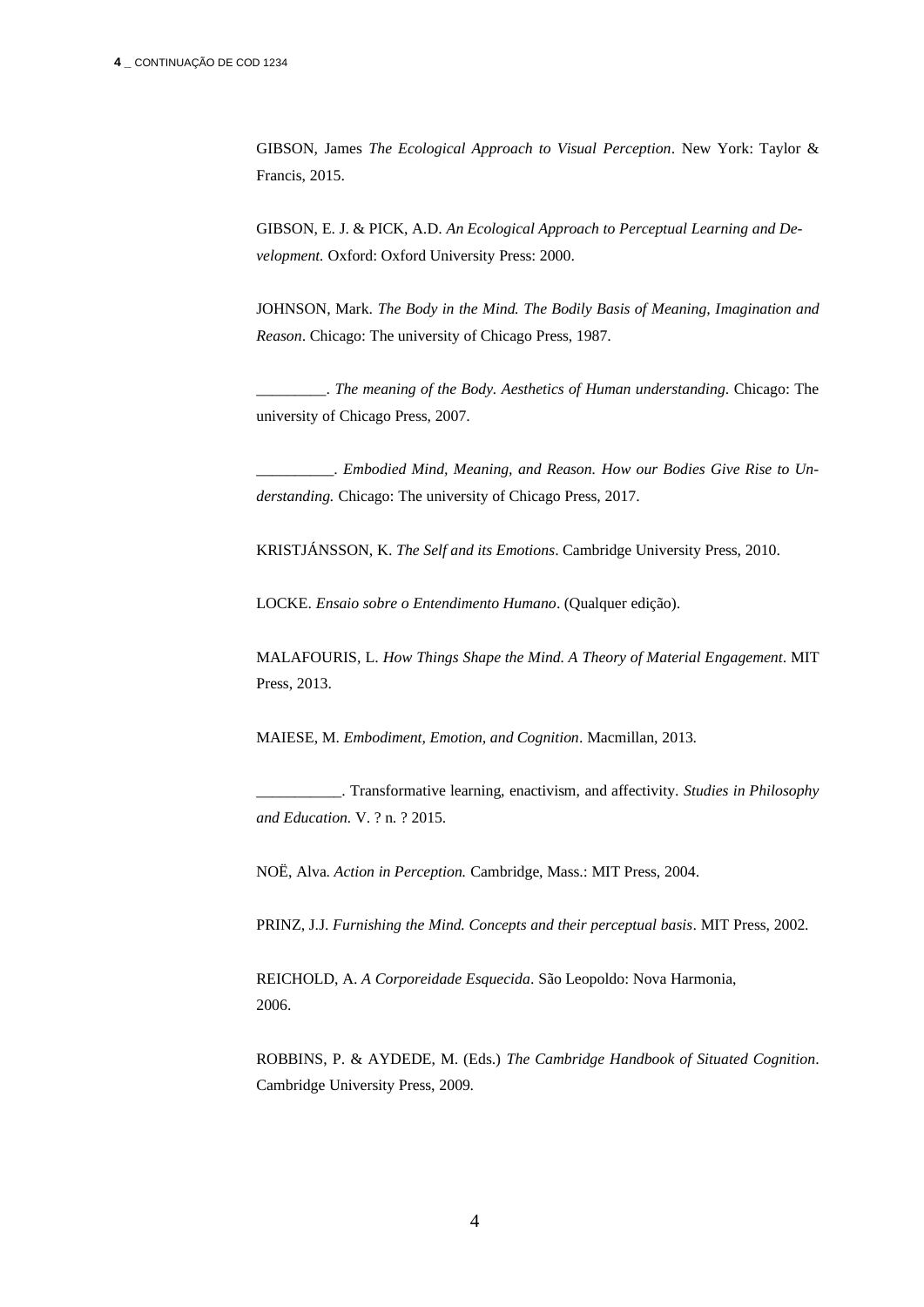GIBSON, James *The Ecological Approach to Visual Perception*. New York: Taylor & Francis, 2015.

GIBSON, E. J. & PICK, A.D. *An Ecological Approach to Perceptual Learning and Development.* Oxford: Oxford University Press: 2000.

JOHNSON, Mark. *The Body in the Mind. The Bodily Basis of Meaning, Imagination and Reason*. Chicago: The university of Chicago Press, 1987.

\_\_\_\_\_\_\_\_\_. *The meaning of the Body. Aesthetics of Human understanding*. Chicago: The university of Chicago Press, 2007.

\_\_\_\_\_\_\_\_\_\_. *Embodied Mind, Meaning, and Reason. How our Bodies Give Rise to Understanding.* Chicago: The university of Chicago Press, 2017.

KRISTJÁNSSON, K. *The Self and its Emotions*. Cambridge University Press, 2010.

LOCKE. *Ensaio sobre o Entendimento Humano*. (Qualquer edição).

MALAFOURIS, L. *How Things Shape the Mind. A Theory of Material Engagement*. MIT Press, 2013.

MAIESE, M. *Embodiment, Emotion, and Cognition*. Macmillan, 2013.

\_\_\_\_\_\_\_\_\_\_\_. Transformative learning, enactivism, and affectivity. *Studies in Philosophy and Education.* V. ? n. ? 2015.

NOË, Alva. *Action in Perception.* Cambridge, Mass.: MIT Press, 2004.

PRINZ, J.J. *Furnishing the Mind. Concepts and their perceptual basis*. MIT Press, 2002.

REICHOLD, A. *A Corporeidade Esquecida*. São Leopoldo: Nova Harmonia, 2006.

ROBBINS, P. & AYDEDE, M. (Eds.) *The Cambridge Handbook of Situated Cognition*. Cambridge University Press, 2009.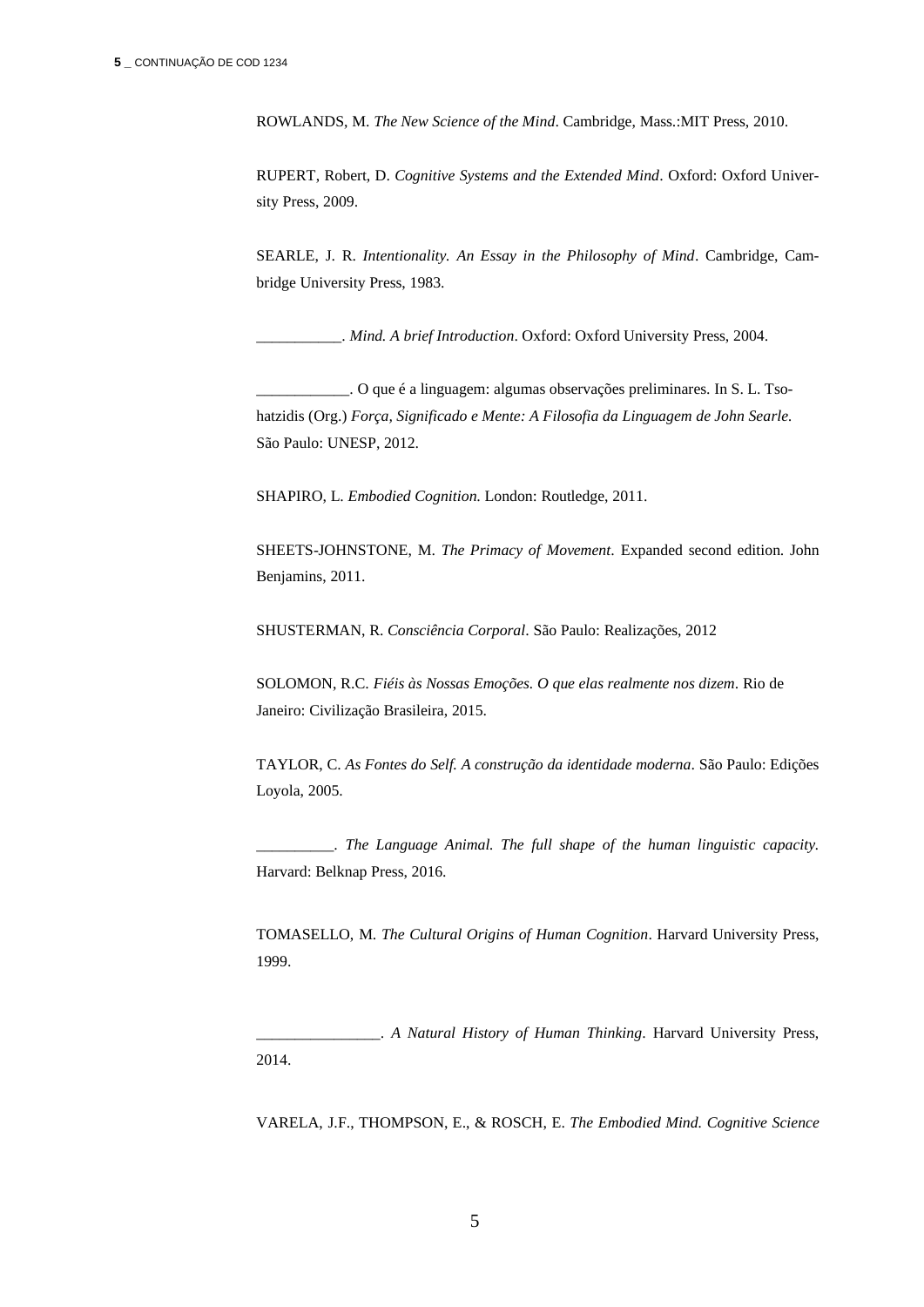ROWLANDS, M. *The New Science of the Mind*. Cambridge, Mass.:MIT Press, 2010.

RUPERT, Robert, D. *Cognitive Systems and the Extended Mind*. Oxford: Oxford University Press, 2009.

SEARLE, J. R. *Intentionality. An Essay in the Philosophy of Mind*. Cambridge, Cambridge University Press, 1983.

\_\_\_\_\_\_\_\_\_\_\_. *Mind. A brief Introduction*. Oxford: Oxford University Press, 2004.

\_\_\_\_\_\_\_\_\_\_\_\_. O que é a linguagem: algumas observações preliminares. In S. L. Tsohatzidis (Org.) *Força, Significado e Mente: A Filosofia da Linguagem de John Searle.* São Paulo: UNESP, 2012.

SHAPIRO, L. *Embodied Cognition*. London: Routledge, 2011.

SHEETS-JOHNSTONE, M. *The Primacy of Movement*. Expanded second edition. John Benjamins, 2011.

SHUSTERMAN, R. *Consciência Corporal*. São Paulo: Realizações, 2012

SOLOMON, R.C. *Fiéis às Nossas Emoções. O que elas realmente nos dizem*. Rio de Janeiro: Civilização Brasileira, 2015.

TAYLOR, C. *As Fontes do Self. A construção da identidade moderna*. São Paulo: Edições Loyola, 2005.

\_\_\_\_\_\_\_\_\_\_. *The Language Animal. The full shape of the human linguistic capacity.* Harvard: Belknap Press, 2016.

TOMASELLO, M. *The Cultural Origins of Human Cognition*. Harvard University Press, 1999.

\_\_\_\_\_\_\_\_\_\_\_\_\_\_\_\_. *A Natural History of Human Thinking*. Harvard University Press, 2014.

VARELA, J.F., THOMPSON, E., & ROSCH, E. *The Embodied Mind. Cognitive Science*